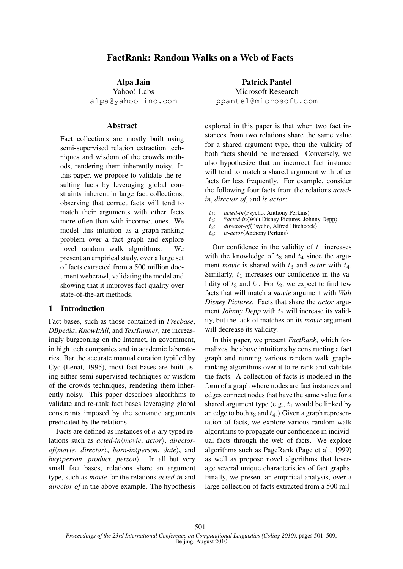# FactRank: Random Walks on a Web of Facts

Alpa Jain Yahoo! Labs alpa@yahoo-inc.com

### Abstract

Fact collections are mostly built using semi-supervised relation extraction techniques and wisdom of the crowds methods, rendering them inherently noisy. In this paper, we propose to validate the resulting facts by leveraging global constraints inherent in large fact collections, observing that correct facts will tend to match their arguments with other facts more often than with incorrect ones. We model this intuition as a graph-ranking problem over a fact graph and explore novel random walk algorithms. We present an empirical study, over a large set of facts extracted from a 500 million document webcrawl, validating the model and showing that it improves fact quality over state-of-the-art methods.

# 1 Introduction

Fact bases, such as those contained in *Freebase*, *DBpedia*, *KnowItAll*, and *TextRunner*, are increasingly burgeoning on the Internet, in government, in high tech companies and in academic laboratories. Bar the accurate manual curation typified by Cyc (Lenat, 1995), most fact bases are built using either semi-supervised techniques or wisdom of the crowds techniques, rendering them inherently noisy. This paper describes algorithms to validate and re-rank fact bases leveraging global constraints imposed by the semantic arguments predicated by the relations.

Facts are defined as instances of *n*-ary typed relations such as *acted-in* $\langle$ *movie*, *actor* $\rangle$ , *directorof* $\langle$ *movie*, *director* $\rangle$ , *born-in* $\langle$ *person*, *date* $\rangle$ , and  $buy\$ person, *product*, *person* $\rangle$ . In all but very small fact bases, relations share an argument type, such as *movie* for the relations *acted-in* and *director-of* in the above example. The hypothesis

Patrick Pantel Microsoft Research ppantel@microsoft.com

explored in this paper is that when two fact instances from two relations share the same value for a shared argument type, then the validity of both facts should be increased. Conversely, we also hypothesize that an incorrect fact instance will tend to match a shared argument with other facts far less frequently. For example, consider the following four facts from the relations *actedin*, *director-of*, and *is-actor*:

- 
- t<sub>1</sub>: *acted-in*(Psycho, Anthony Perkins)<br>t<sub>2</sub>: \**acted-in*(Walt Disney Pictures, John t<sub>2</sub>: \**acted-in*(Walt Disney Pictures, Johnny Depp)<br>t<sub>3</sub>: director-of(Psycho, Alfred Hitchcock)
- t<sub>3</sub>: *director-of*(Psycho, Alfred Hitchcock)<br>t<sub>4</sub>: *is-actor*(Anthony Perkins)
- is-actor<sup>(</sup>Anthony Perkins)

Our confidence in the validity of  $t_1$  increases with the knowledge of  $t_3$  and  $t_4$  since the argument *movie* is shared with  $t_3$  and *actor* with  $t_4$ . Similarly,  $t_1$  increases our confidence in the validity of  $t_3$  and  $t_4$ . For  $t_2$ , we expect to find few facts that will match a *movie* argument with *Walt Disney Pictures*. Facts that share the *actor* argument *Johnny Depp* with  $t_2$  will increase its validity, but the lack of matches on its *movie* argument will decrease its validity.

In this paper, we present *FactRank*, which formalizes the above intuitions by constructing a fact graph and running various random walk graphranking algorithms over it to re-rank and validate the facts. A collection of facts is modeled in the form of a graph where nodes are fact instances and edges connect nodes that have the same value for a shared argument type (e.g.,  $t_1$  would be linked by an edge to both  $t_3$  and  $t_4$ .) Given a graph representation of facts, we explore various random walk algorithms to propagate our confidence in individual facts through the web of facts. We explore algorithms such as PageRank (Page et al., 1999) as well as propose novel algorithms that leverage several unique characteristics of fact graphs. Finally, we present an empirical analysis, over a large collection of facts extracted from a 500 mil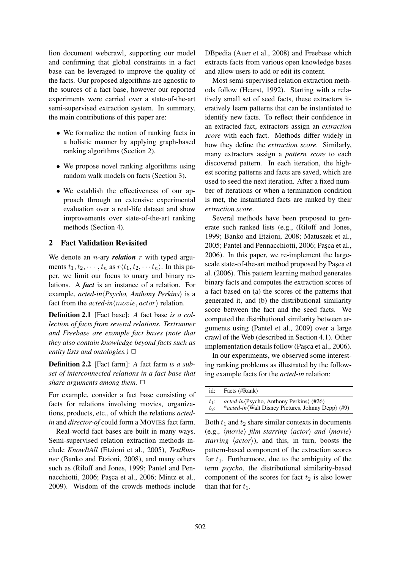lion document webcrawl, supporting our model and confirming that global constraints in a fact base can be leveraged to improve the quality of the facts. Our proposed algorithms are agnostic to the sources of a fact base, however our reported experiments were carried over a state-of-the-art semi-supervised extraction system. In summary, the main contributions of this paper are:

- We formalize the notion of ranking facts in a holistic manner by applying graph-based ranking algorithms (Section 2).
- We propose novel ranking algorithms using random walk models on facts (Section 3).
- We establish the effectiveness of our approach through an extensive experimental evaluation over a real-life dataset and show improvements over state-of-the-art ranking methods (Section 4).

# 2 Fact Validation Revisited

We denote an  $n$ -ary *relation*  $r$  with typed arguments  $t_1, t_2, \dots, t_n$  as  $r\langle t_1, t_2, \dots, t_n \rangle$ . In this paper, we limit our focus to unary and binary relations. A *fact* is an instance of a relation. For example, *acted-in* $\langle Psycho, \text{Anthony } Perkins \rangle$  is a fact from the *acted-in* $\langle move, actor \rangle$  relation.

Definition 2.1 [Fact base]: *A* fact base *is a collection of facts from several relations. Textrunner and Freebase are example fact bases (note that they also contain knowledge beyond facts such as entity lists and ontologies.)* ✷

Definition 2.2 [Fact farm]: *A* fact farm *is a subset of interconnected relations in a fact base that share arguments among them.*  $\Box$ 

For example, consider a fact base consisting of facts for relations involving movies, organizations, products, etc., of which the relations *actedin* and *director-of* could form a MOVIES fact farm.

Real-world fact bases are built in many ways. Semi-supervised relation extraction methods include *KnowItAll* (Etzioni et al., 2005), *TextRunner* (Banko and Etzioni, 2008), and many others such as (Riloff and Jones, 1999; Pantel and Pennacchiotti, 2006; Pasca et al., 2006; Mintz et al., 2009). Wisdom of the crowds methods include DBpedia (Auer et al., 2008) and Freebase which extracts facts from various open knowledge bases and allow users to add or edit its content.

Most semi-supervised relation extraction methods follow (Hearst, 1992). Starting with a relatively small set of seed facts, these extractors iteratively learn patterns that can be instantiated to identify new facts. To reflect their confidence in an extracted fact, extractors assign an *extraction score* with each fact. Methods differ widely in how they define the *extraction score*. Similarly, many extractors assign a *pattern score* to each discovered pattern. In each iteration, the highest scoring patterns and facts are saved, which are used to seed the next iteration. After a fixed number of iterations or when a termination condition is met, the instantiated facts are ranked by their *extraction score*.

Several methods have been proposed to generate such ranked lists (e.g., (Riloff and Jones, 1999; Banko and Etzioni, 2008; Matuszek et al., 2005; Pantel and Pennacchiotti, 2006; Pasca et al., 2006). In this paper, we re-implement the largescale state-of-the-art method proposed by Paşca et al. (2006). This pattern learning method generates binary facts and computes the extraction scores of a fact based on (a) the scores of the patterns that generated it, and (b) the distributional similarity score between the fact and the seed facts. We computed the distributional similarity between arguments using (Pantel et al., 2009) over a large crawl of the Web (described in Section 4.1). Other implementation details follow (Pasca et al., 2006).

In our experiments, we observed some interesting ranking problems as illustrated by the following example facts for the *acted-in* relation:

| id:     | Facts (#Rank)                                                      |
|---------|--------------------------------------------------------------------|
| $t_1$ : | $\alpha$ cted-in $\langle$ Psycho, Anthony Perkins $\rangle$ (#26) |
| $t_2$ : | <i>*acted-in</i> (Walt Disney Pictures, Johnny Depp) (#9)          |

Both  $t_1$  and  $t_2$  share similar contexts in documents (e.g.,  $\langle movie \rangle$  *film starring*  $\langle actor \rangle$  *and*  $\langle movie \rangle$ *starring*  $\langle actor \rangle$ ), and this, in turn, boosts the pattern-based component of the extraction scores for  $t_1$ . Furthermore, due to the ambiguity of the term *psycho*, the distributional similarity-based component of the scores for fact  $t_2$  is also lower than that for  $t_1$ .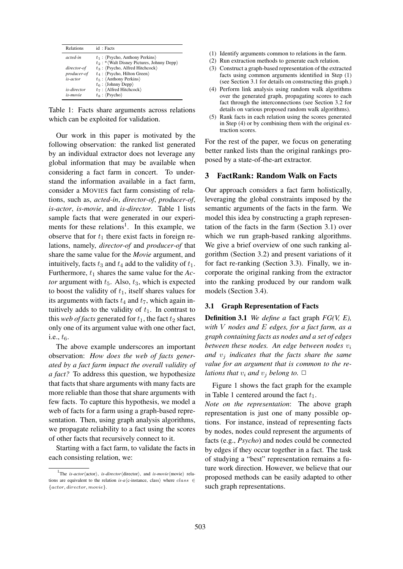| <b>Relations</b> | id: Facts                                            |
|------------------|------------------------------------------------------|
| acted-in         | $t_1$ : (Psycho, Anthony Perkins)                    |
|                  | $t_2$ : * (Walt Disney Pictures, Johnny Depp)        |
| director-of      | $t_3$ : $\langle$ Psycho, Alfred Hitchcock $\rangle$ |
| producer-of      | $t_4$ : (Psycho, Hilton Green)                       |
| is-actor         | $t_5$ : $\langle$ Anthony Perkins $\rangle$          |
|                  | $t_6$ : $\langle$ Johnny Depp $\rangle$              |
| is-director      | $t_7$ : $\langle$ Alfred Hitchcock $\rangle$         |
| is-movie         | $t_8$ : $\langle$ Psycho $\rangle$                   |

Table 1: Facts share arguments across relations which can be exploited for validation.

Our work in this paper is motivated by the following observation: the ranked list generated by an individual extractor does not leverage any global information that may be available when considering a fact farm in concert. To understand the information available in a fact farm, consider a MOVIES fact farm consisting of relations, such as, *acted-in*, *director-of*, *producer-of*, *is-actor*, *is-movie*, and *is-director*. Table 1 lists sample facts that were generated in our experiments for these relations<sup>1</sup>. In this example, we observe that for  $t_1$  there exist facts in foreign relations, namely, *director-of* and *producer-of* that share the same value for the *Movie* argument, and intuitively, facts  $t_3$  and  $t_4$  add to the validity of  $t_1$ . Furthermore,  $t_1$  shares the same value for the  $Ac$ *tor* argument with  $t_5$ . Also,  $t_3$ , which is expected to boost the validity of  $t_1$ , itself shares values for its arguments with facts  $t_4$  and  $t_7$ , which again intuitively adds to the validity of  $t_1$ . In contrast to this *web of facts* generated for  $t_1$ , the fact  $t_2$  shares only one of its argument value with one other fact, i.e.,  $t_6$ .

The above example underscores an important observation: *How does the web of facts generated by a fact farm impact the overall validity of a fact?* To address this question, we hypothesize that facts that share arguments with many facts are more reliable than those that share arguments with few facts. To capture this hypothesis, we model a web of facts for a farm using a graph-based representation. Then, using graph analysis algorithms, we propagate reliability to a fact using the scores of other facts that recursively connect to it.

Starting with a fact farm, to validate the facts in each consisting relation, we:

- (1) Identify arguments common to relations in the farm.
- (2) Run extraction methods to generate each relation.
- (3) Construct a graph-based representation of the extracted facts using common arguments identified in Step (1) (see Section 3.1 for details on constructing this graph.)
- (4) Perform link analysis using random walk algorithms over the generated graph, propagating scores to each fact through the interconnections (see Section 3.2 for details on various proposed random walk algorithms).
- (5) Rank facts in each relation using the scores generated in Step (4) or by combining them with the original extraction scores.

For the rest of the paper, we focus on generating better ranked lists than the original rankings proposed by a state-of-the-art extractor.

### 3 FactRank: Random Walk on Facts

Our approach considers a fact farm holistically, leveraging the global constraints imposed by the semantic arguments of the facts in the farm. We model this idea by constructing a graph representation of the facts in the farm (Section 3.1) over which we run graph-based ranking algorithms. We give a brief overview of one such ranking algorithm (Section 3.2) and present variations of it for fact re-ranking (Section 3.3). Finally, we incorporate the original ranking from the extractor into the ranking produced by our random walk models (Section 3.4).

# 3.1 Graph Representation of Facts

Definition 3.1 *We define a* fact graph *FG(V, E), with* V *nodes and* E *edges, for a fact farm, as a graph containing facts as nodes and a set of edges between these nodes. An edge between nodes*  $v_i$ *and*  $v_j$  *indicates that the facts share the same value for an argument that is common to the relations that*  $v_i$  *and*  $v_j$  *belong to.*  $\Box$ 

Figure 1 shows the fact graph for the example in Table 1 centered around the fact  $t_1$ .

*Note on the representation*: The above graph representation is just one of many possible options. For instance, instead of representing facts by nodes, nodes could represent the arguments of facts (e.g., *Psycho*) and nodes could be connected by edges if they occur together in a fact. The task of studying a "best" representation remains a future work direction. However, we believe that our proposed methods can be easily adapted to other such graph representations.

<sup>&</sup>lt;sup>1</sup>The *is-actor* $\langle$ actor $\rangle$ , *is-director* $\langle$ director $\rangle$ , and *is-movie* $\langle$ movie $\rangle$  relations are equivalent to the relation *is-a* $\langle$ c-instance, class) where class  $\in$ {actor, director, movie}.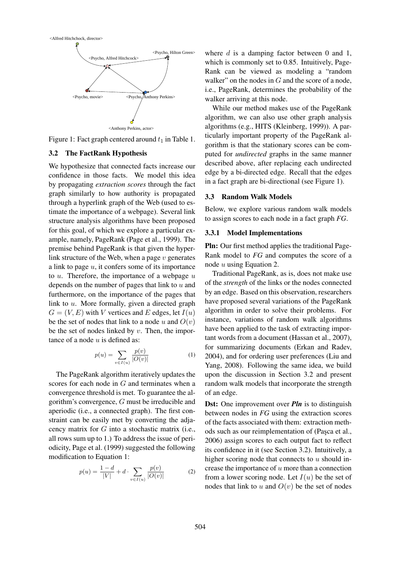

Figure 1: Fact graph centered around  $t_1$  in Table 1.

#### 3.2 The FactRank Hypothesis

We hypothesize that connected facts increase our confidence in those facts. We model this idea by propagating *extraction scores* through the fact graph similarly to how authority is propagated through a hyperlink graph of the Web (used to estimate the importance of a webpage). Several link structure analysis algorithms have been proposed for this goal, of which we explore a particular example, namely, PageRank (Page et al., 1999). The premise behind PageRank is that given the hyperlink structure of the Web, when a page  $v$  generates a link to page  $u$ , it confers some of its importance to  $u$ . Therefore, the importance of a webpage  $u$ depends on the number of pages that link to  $u$  and furthermore, on the importance of the pages that link to u. More formally, given a directed graph  $G = (V, E)$  with V vertices and E edges, let  $I(u)$ be the set of nodes that link to a node u and  $O(v)$ be the set of nodes linked by  $v$ . Then, the importance of a node  $u$  is defined as:

$$
p(u) = \sum_{v \in I(u)} \frac{p(v)}{|O(v)|}
$$
 (1)

The PageRank algorithm iteratively updates the scores for each node in  $G$  and terminates when a convergence threshold is met. To guarantee the algorithm's convergence, G must be irreducible and aperiodic (i.e., a connected graph). The first constraint can be easily met by converting the adjacency matrix for  $G$  into a stochastic matrix (i.e., all rows sum up to 1.) To address the issue of periodicity, Page et al. (1999) suggested the following modification to Equation 1:

$$
p(u) = \frac{1 - d}{|V|} + d \cdot \sum_{v \in I(u)} \frac{p(v)}{|O(v)|}
$$
 (2)

where  $d$  is a damping factor between 0 and 1, which is commonly set to 0.85. Intuitively, Page-Rank can be viewed as modeling a "random walker" on the nodes in  $G$  and the score of a node, i.e., PageRank, determines the probability of the walker arriving at this node.

While our method makes use of the PageRank algorithm, we can also use other graph analysis algorithms (e.g., HITS (Kleinberg, 1999)). A particularly important property of the PageRank algorithm is that the stationary scores can be computed for *undirected* graphs in the same manner described above, after replacing each undirected edge by a bi-directed edge. Recall that the edges in a fact graph are bi-directional (see Figure 1).

### 3.3 Random Walk Models

Below, we explore various random walk models to assign scores to each node in a fact graph *FG*.

#### 3.3.1 Model Implementations

Pln: Our first method applies the traditional Page-Rank model to *FG* and computes the score of a node  $u$  using Equation 2.

Traditional PageRank, as is, does not make use of the *strength* of the links or the nodes connected by an edge. Based on this observation, researchers have proposed several variations of the PageRank algorithm in order to solve their problems. For instance, variations of random walk algorithms have been applied to the task of extracting important words from a document (Hassan et al., 2007), for summarizing documents (Erkan and Radev, 2004), and for ordering user preferences (Liu and Yang, 2008). Following the same idea, we build upon the discussion in Section 3.2 and present random walk models that incorporate the strength of an edge.

**Dst:** One improvement over *Pln* is to distinguish between nodes in *FG* using the extraction scores of the facts associated with them: extraction methods such as our reimplementation of (Pasca et al., 2006) assign scores to each output fact to reflect its confidence in it (see Section 3.2). Intuitively, a higher scoring node that connects to  $u$  should increase the importance of  $u$  more than a connection from a lower scoring node. Let  $I(u)$  be the set of nodes that link to u and  $O(v)$  be the set of nodes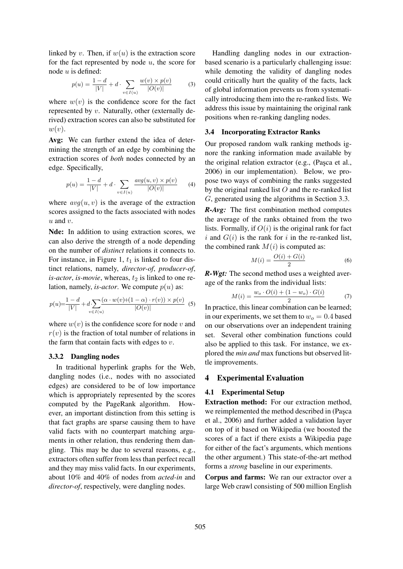linked by v. Then, if  $w(u)$  is the extraction score for the fact represented by node  $u$ , the score for node u is defined:

$$
p(u) = \frac{1 - d}{|V|} + d \cdot \sum_{v \in I(u)} \frac{w(v) \times p(v)}{|O(v)|} \tag{3}
$$

where  $w(v)$  is the confidence score for the fact represented by v. Naturally, other (externally derived) extraction scores can also be substituted for  $w(v)$ .

Avg: We can further extend the idea of determining the strength of an edge by combining the extraction scores of *both* nodes connected by an edge. Specifically,

$$
p(u) = \frac{1 - d}{|V|} + d \cdot \sum_{v \in I(u)} \frac{avg(u, v) \times p(v)}{|O(v)|} \tag{4}
$$

where  $avg(u, v)$  is the average of the extraction scores assigned to the facts associated with nodes  $u$  and  $v$ .

Nde: In addition to using extraction scores, we can also derive the strength of a node depending on the number of *distinct* relations it connects to. For instance, in Figure 1,  $t_1$  is linked to four distinct relations, namely, *director-of*, *producer-of*,  $is-actor$ , *is-movie*, whereas,  $t_2$  is linked to one relation, namely, *is-actor*. We compute  $p(u)$  as:

$$
p(u) = \frac{1 - d}{|V|} + d \sum_{v \in I(u)} \frac{(\alpha \cdot w(v) + (1 - \alpha) \cdot r(v)) \times p(v)}{|O(v)|} \tag{5}
$$

where  $w(v)$  is the confidence score for node v and  $r(v)$  is the fraction of total number of relations in the farm that contain facts with edges to  $v$ .

#### 3.3.2 Dangling nodes

In traditional hyperlink graphs for the Web, dangling nodes (i.e., nodes with no associated edges) are considered to be of low importance which is appropriately represented by the scores computed by the PageRank algorithm. However, an important distinction from this setting is that fact graphs are sparse causing them to have valid facts with no counterpart matching arguments in other relation, thus rendering them dangling. This may be due to several reasons, e.g., extractors often suffer from less than perfect recall and they may miss valid facts. In our experiments, about 10% and 40% of nodes from *acted-in* and *director-of*, respectively, were dangling nodes.

Handling dangling nodes in our extractionbased scenario is a particularly challenging issue: while demoting the validity of dangling nodes could critically hurt the quality of the facts, lack of global information prevents us from systematically introducing them into the re-ranked lists. We address this issue by maintaining the original rank positions when re-ranking dangling nodes.

#### 3.4 Incorporating Extractor Ranks

Our proposed random walk ranking methods ignore the ranking information made available by the original relation extractor (e.g., (Pasca et al., 2006) in our implementation). Below, we propose two ways of combining the ranks suggested by the original ranked list  $O$  and the re-ranked list G, generated using the algorithms in Section 3.3.

*R-Avg:* The first combination method computes the average of the ranks obtained from the two lists. Formally, if  $O(i)$  is the original rank for fact i and  $G(i)$  is the rank for i in the re-ranked list, the combined rank  $M(i)$  is computed as:

$$
M(i) = \frac{O(i) + G(i)}{2} \tag{6}
$$

*R-Wgt:* The second method uses a weighted average of the ranks from the individual lists:

$$
M(i) = \frac{w_o \cdot O(i) + (1 - w_o) \cdot G(i)}{2} \tag{7}
$$

In practice, this linear combination can be learned; in our experiments, we set them to  $w_o = 0.4$  based on our observations over an independent training set. Several other combination functions could also be applied to this task. For instance, we explored the *min and* max functions but observed little improvements.

### 4 Experimental Evaluation

#### 4.1 Experimental Setup

Extraction method: For our extraction method, we reimplemented the method described in (Pasca et al., 2006) and further added a validation layer on top of it based on Wikipedia (we boosted the scores of a fact if there exists a Wikipedia page for either of the fact's arguments, which mentions the other argument.) This state-of-the-art method forms a *strong* baseline in our experiments.

Corpus and farms: We ran our extractor over a large Web crawl consisting of 500 million English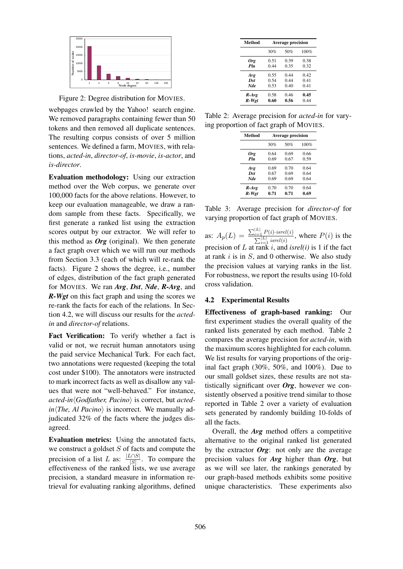

Figure 2: Degree distribution for MOVIES.

webpages crawled by the Yahoo! search engine. We removed paragraphs containing fewer than 50 tokens and then removed all duplicate sentences. The resulting corpus consists of over 5 million sentences. We defined a farm, MOVIES, with relations, *acted-in*, *director-of*, *is-movie*, *is-actor*, and *is-director*.

Evaluation methodology: Using our extraction method over the Web corpus, we generate over 100,000 facts for the above relations. However, to keep our evaluation manageable, we draw a random sample from these facts. Specifically, we first generate a ranked list using the extraction scores output by our extractor. We will refer to this method as *Org* (original). We then generate a fact graph over which we will run our methods from Section 3.3 (each of which will re-rank the facts). Figure 2 shows the degree, i.e., number of edges, distribution of the fact graph generated for MOVIES. We ran *Avg*, *Dst*, *Nde*, *R-Avg*, and *R-Wgt* on this fact graph and using the scores we re-rank the facts for each of the relations. In Section 4.2, we will discuss our results for the *actedin* and *director-of* relations.

Fact Verification: To verify whether a fact is valid or not, we recruit human annotators using the paid service Mechanical Turk. For each fact, two annotations were requested (keeping the total cost under \$100). The annotators were instructed to mark incorrect facts as well as disallow any values that were not "well-behaved." For instance, *acted-in* $\langle$ *Godfather, Pacino* $\rangle$  is correct, but *acted* $in$ *The, Al Pacino*) is incorrect. We manually adjudicated 32% of the facts where the judges disagreed.

Evaluation metrics: Using the annotated facts, we construct a goldset  $S$  of facts and compute the precision of a list L as:  $\frac{|L \cap S|}{|S|}$  $\frac{|\mathcal{S}|}{|\mathcal{S}|}$ . To compare the effectiveness of the ranked lists, we use average precision, a standard measure in information retrieval for evaluating ranking algorithms, defined

| Method     | <b>Average precision</b> |      |      |  |
|------------|--------------------------|------|------|--|
|            | 30%                      | 50%  | 100% |  |
| Org        | 0.51                     | 0.39 | 0.38 |  |
| Pln        | 0.44                     | 0.35 | 0.32 |  |
| Avg        | 0.55                     | 0.44 | 0.42 |  |
| Dst        | 0.54                     | 0.44 | 0.41 |  |
| <b>Nde</b> | 0.53                     | 0.40 | 0.41 |  |
| $R$ -Avg   | 0.58                     | 0.46 | 0.45 |  |
| R-Wgt      | 0.60                     | 0.56 | 0.44 |  |

Table 2: Average precision for *acted-in* for varying proportion of fact graph of MOVIES.

| Method     | <b>Average precision</b> |      |      |  |
|------------|--------------------------|------|------|--|
|            | 30%                      | 50%  | 100% |  |
| Org        | 0.64                     | 0.69 | 0.66 |  |
| Pln        | 0.69                     | 0.67 | 0.59 |  |
| Avg        | 0.69                     | 0.70 | 0.64 |  |
| Dst        | 0.67                     | 0.69 | 0.64 |  |
| <b>Nde</b> | 0.69                     | 0.69 | 0.64 |  |
| $R$ -Avg   | 0.70                     | 0.70 | 0.64 |  |
| R-Wgt      | 0.71                     | 0.71 | 0.69 |  |

Table 3: Average precision for *director-of* for varying proportion of fact graph of MOVIES.

as:  $A_p(L) = \frac{\sum_{i=1}^{|L|} P(i) \cdot isrel(i)}{\sum_{i=1}^{|L|} sgn(l(i))}$  $\sum_{i=1}^{|L|}$  isrel(i) , where  $P(i)$  is the precision of L at rank i, and *isrel(i)* is 1 if the fact at rank  $i$  is in  $S$ , and 0 otherwise. We also study the precision values at varying ranks in the list. For robustness, we report the results using 10-fold cross validation.

# 4.2 Experimental Results

Effectiveness of graph-based ranking: Our first experiment studies the overall quality of the ranked lists generated by each method. Table 2 compares the average precision for *acted-in*, with the maximum scores highlighted for each column. We list results for varying proportions of the original fact graph (30%, 50%, and 100%). Due to our small goldset sizes, these results are not statistically significant over *Org*, however we consistently observed a positive trend similar to those reported in Table 2 over a variety of evaluation sets generated by randomly building 10-folds of all the facts.

Overall, the *Avg* method offers a competitive alternative to the original ranked list generated by the extractor *Org*: not only are the average precision values for *Avg* higher than *Org*, but as we will see later, the rankings generated by our graph-based methods exhibits some positive unique characteristics. These experiments also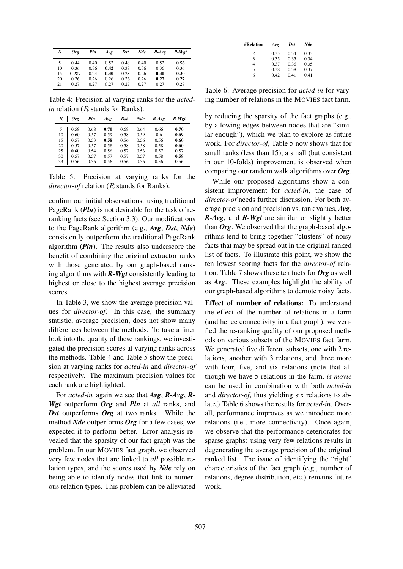| $R_{-}$ | <b>Org</b> | Pln  | Avg  | $_{Dst}$ | Nde  | $R$ -Avg | R-Wet |
|---------|------------|------|------|----------|------|----------|-------|
| 5       | 0.44       | 0.40 | 0.52 | 0.48     | 0.40 | 0.52     | 0.56  |
| 10      | 0.36       | 0.36 | 0.42 | 0.38     | 0.36 | 0.36     | 0.36  |
| 15      | 0.287      | 0.24 | 0.30 | 0.28     | 0.26 | 0.30     | 0.30  |
| 20      | 0.26       | 0.26 | 0.26 | 0.26     | 0.26 | 0.27     | 0.27  |
| 21      | 0.27       | 0.27 | 0.27 | 0.27     | 0.27 | 0.27     | 0.27  |

Table 4: Precision at varying ranks for the *actedin* relation (*R* stands for Ranks).

| R  | Ore  | Pln  | Ave  | Dst  | Nde  | $R$ -Avg | R-Wet |
|----|------|------|------|------|------|----------|-------|
| 5  | 0.58 | 0.68 | 0.70 | 0.68 | 0.64 | 0.66     | 0.70  |
| 10 | 0.60 | 0.57 | 0.59 | 0.58 | 0.59 | 0.6      | 0.69  |
| 15 | 0.57 | 0.53 | 0.58 | 0.56 | 0.56 | 0.56     | 0.60  |
| 20 | 0.57 | 0.57 | 0.58 | 0.58 | 0.58 | 0.58     | 0.60  |
| 25 | 0.60 | 0.54 | 0.56 | 0.57 | 0.56 | 0.57     | 0.57  |
| 30 | 0.57 | 0.57 | 0.57 | 0.57 | 0.57 | 0.58     | 0.59  |
| 33 | 0.56 | 0.56 | 0.56 | 0.56 | 0.56 | 0.56     | 0.56  |

Table 5: Precision at varying ranks for the *director-of* relation (R stands for Ranks).

confirm our initial observations: using traditional PageRank (*Pln*) is not desirable for the task of reranking facts (see Section 3.3). Our modifications to the PageRank algorithm (e.g., *Avg*, *Dst*, *Nde*) consistently outperform the traditional PageRank algorithm (*Pln*). The results also underscore the benefit of combining the original extractor ranks with those generated by our graph-based ranking algorithms with *R-Wgt* consistently leading to highest or close to the highest average precision scores.

In Table 3, we show the average precision values for *director-of*. In this case, the summary statistic, average precision, does not show many differences between the methods. To take a finer look into the quality of these rankings, we investigated the precision scores at varying ranks across the methods. Table 4 and Table 5 show the precision at varying ranks for *acted-in* and *director-of* respectively. The maximum precision values for each rank are highlighted.

For *acted-in* again we see that *Avg*, *R-Avg*, *R-Wgt* outperform *Org* and *Pln* at *all* ranks, and *Dst* outperforms *Org* at two ranks. While the method *Nde* outperforms *Org* for a few cases, we expected it to perform better. Error analysis revealed that the sparsity of our fact graph was the problem. In our MOVIES fact graph, we observed very few nodes that are linked to *all* possible relation types, and the scores used by *Nde* rely on being able to identify nodes that link to numerous relation types. This problem can be alleviated

| <b>#Relation</b> | Avg  | Dst  | <b>Nde</b> |
|------------------|------|------|------------|
| 2                | 0.35 | 0.34 | 0.33       |
| 3                | 0.35 | 0.35 | 0.34       |
| 4                | 0.37 | 0.36 | 0.35       |
| 5                | 0.38 | 0.38 | 0.37       |
| 6                | 0.42 | 0.41 | 0.41       |

Table 6: Average precision for *acted-in* for varying number of relations in the MOVIES fact farm.

by reducing the sparsity of the fact graphs (e.g., by allowing edges between nodes that are "similar enough"), which we plan to explore as future work. For *director-of*, Table 5 now shows that for small ranks (less than 15), a small (but consistent in our 10-folds) improvement is observed when comparing our random walk algorithms over *Org*.

While our proposed algorithms show a consistent improvement for *acted-in*, the case of *director-of* needs further discussion. For both average precision and precision vs. rank values, *Avg*, *R-Avg*, and *R-Wgt* are similar or slightly better than *Org*. We observed that the graph-based algorithms tend to bring together "clusters" of noisy facts that may be spread out in the original ranked list of facts. To illustrate this point, we show the ten lowest scoring facts for the *director-of* relation. Table 7 shows these ten facts for *Org* as well as *Avg*. These examples highlight the ability of our graph-based algorithms to demote noisy facts.

Effect of number of relations: To understand the effect of the number of relations in a farm (and hence connectivity in a fact graph), we verified the re-ranking quality of our proposed methods on various subsets of the MOVIES fact farm. We generated five different subsets, one with 2 relations, another with 3 relations, and three more with four, five, and six relations (note that although we have 5 relations in the farm, *is-movie* can be used in combination with both *acted-in* and *director-of*, thus yielding six relations to ablate.) Table 6 shows the results for *acted-in*. Overall, performance improves as we introduce more relations (i.e., more connectivity). Once again, we observe that the performance deteriorates for sparse graphs: using very few relations results in degenerating the average precision of the original ranked list. The issue of identifying the "right" characteristics of the fact graph (e.g., number of relations, degree distribution, etc.) remains future work.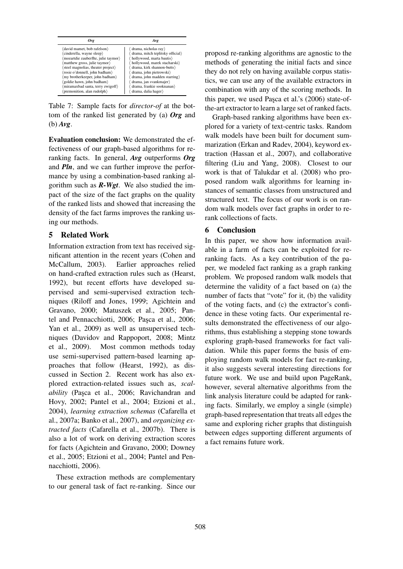| ()ro                                 | Ave                                |
|--------------------------------------|------------------------------------|
| (david mamet, bob rafelson)          | drama, nicholas ray                |
| (cinderella, wayne sleep)            | drama, mitch teplitsky official)   |
| (mozartdie zauberflte, julie taymor) | hollywood, marta bautis)           |
| matthew gross, julie taymor          | hollywood, marek stacharski)       |
| steel magnolias, theater project)    | drama, kirk shannon-butts)         |
| (rosie o'donnell, john badham)       | drama, john pietrowski             |
| (my brotherkeeper, john badham)      | drama, john madden starring        |
| (goldie hawn, john badham)           | $d$ rama, jan svankmajer $\rangle$ |
| miramaxbad santa, terry zwigoff)     | drama, frankie sooknanan)          |
| (premonition, alan rudolph)          | drama, dalia hager                 |

Table 7: Sample facts for *director-of* at the bottom of the ranked list generated by (a) *Org* and (b) *Avg*.

Evaluation conclusion: We demonstrated the effectiveness of our graph-based algorithms for reranking facts. In general, *Avg* outperforms *Org* and *Pln*, and we can further improve the performance by using a combination-based ranking algorithm such as *R-Wgt*. We also studied the impact of the size of the fact graphs on the quality of the ranked lists and showed that increasing the density of the fact farms improves the ranking using our methods.

# 5 Related Work

Information extraction from text has received significant attention in the recent years (Cohen and McCallum, 2003). Earlier approaches relied on hand-crafted extraction rules such as (Hearst, 1992), but recent efforts have developed supervised and semi-supervised extraction techniques (Riloff and Jones, 1999; Agichtein and Gravano, 2000; Matuszek et al., 2005; Pantel and Pennacchiotti, 2006; Paşca et al., 2006; Yan et al., 2009) as well as unsupervised techniques (Davidov and Rappoport, 2008; Mintz et al., 2009). Most common methods today use semi-supervised pattern-based learning approaches that follow (Hearst, 1992), as discussed in Section 2. Recent work has also explored extraction-related issues such as, *scalability* (Paşca et al., 2006; Ravichandran and Hovy, 2002; Pantel et al., 2004; Etzioni et al., 2004), *learning extraction schemas* (Cafarella et al., 2007a; Banko et al., 2007), and *organizing extracted facts* (Cafarella et al., 2007b). There is also a lot of work on deriving extraction scores for facts (Agichtein and Gravano, 2000; Downey et al., 2005; Etzioni et al., 2004; Pantel and Pennacchiotti, 2006).

These extraction methods are complementary to our general task of fact re-ranking. Since our proposd re-ranking algorithms are agnostic to the methods of generating the initial facts and since they do not rely on having available corpus statistics, we can use any of the available extractors in combination with any of the scoring methods. In this paper, we used Paşca et al.'s (2006) state-ofthe-art extractor to learn a large set of ranked facts.

Graph-based ranking algorithms have been explored for a variety of text-centric tasks. Random walk models have been built for document summarization (Erkan and Radev, 2004), keyword extraction (Hassan et al., 2007), and collaborative filtering (Liu and Yang, 2008). Closest to our work is that of Talukdar et al. (2008) who proposed random walk algorithms for learning instances of semantic classes from unstructured and structured text. The focus of our work is on random walk models over fact graphs in order to rerank collections of facts.

## 6 Conclusion

In this paper, we show how information available in a farm of facts can be exploited for reranking facts. As a key contribution of the paper, we modeled fact ranking as a graph ranking problem. We proposed random walk models that determine the validity of a fact based on (a) the number of facts that "vote" for it, (b) the validity of the voting facts, and (c) the extractor's confidence in these voting facts. Our experimental results demonstrated the effectiveness of our algorithms, thus establishing a stepping stone towards exploring graph-based frameworks for fact validation. While this paper forms the basis of employing random walk models for fact re-ranking, it also suggests several interesting directions for future work. We use and build upon PageRank, however, several alternative algorithms from the link analysis literature could be adapted for ranking facts. Similarly, we employ a single (simple) graph-based representation that treats all edges the same and exploring richer graphs that distinguish between edges supporting different arguments of a fact remains future work.